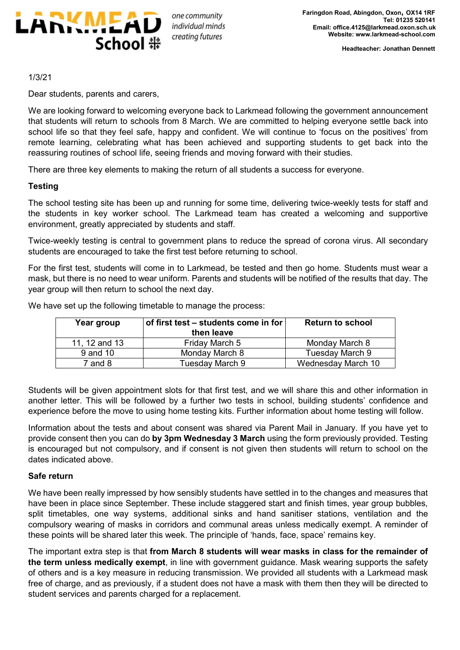

1/3/21

Dear students, parents and carers,

We are looking forward to welcoming everyone back to Larkmead following the government announcement that students will return to schools from 8 March. We are committed to helping everyone settle back into school life so that they feel safe, happy and confident. We will continue to 'focus on the positives' from remote learning, celebrating what has been achieved and supporting students to get back into the reassuring routines of school life, seeing friends and moving forward with their studies.

There are three key elements to making the return of all students a success for everyone.

## **Testing**

The school testing site has been up and running for some time, delivering twice-weekly tests for staff and the students in key worker school. The Larkmead team has created a welcoming and supportive environment, greatly appreciated by students and staff.

Twice-weekly testing is central to government plans to reduce the spread of corona virus. All secondary students are encouraged to take the first test before returning to school.

For the first test, students will come in to Larkmead, be tested and then go home. Students must wear a mask, but there is no need to wear uniform. Parents and students will be notified of the results that day. The year group will then return to school the next day.

| Year group    | of first test – students come in for $\vert$<br>then leave | <b>Return to school</b> |
|---------------|------------------------------------------------------------|-------------------------|
| 11, 12 and 13 | Friday March 5                                             | Monday March 8          |
| 9 and 10      | Monday March 8                                             | Tuesday March 9         |
| $7$ and $8$   | Tuesday March 9                                            | Wednesday March 10      |

We have set up the following timetable to manage the process:

Students will be given appointment slots for that first test, and we will share this and other information in another letter. This will be followed by a further two tests in school, building students' confidence and experience before the move to using home testing kits. Further information about home testing will follow.

Information about the tests and about consent was shared via Parent Mail in January. If you have yet to provide consent then you can do **by 3pm Wednesday 3 March** using the form previously provided. Testing is encouraged but not compulsory, and if consent is not given then students will return to school on the dates indicated above.

## **Safe return**

We have been really impressed by how sensibly students have settled in to the changes and measures that have been in place since September. These include staggered start and finish times, year group bubbles, split timetables, one way systems, additional sinks and hand sanitiser stations, ventilation and the compulsory wearing of masks in corridors and communal areas unless medically exempt. A reminder of these points will be shared later this week. The principle of 'hands, face, space' remains key.

The important extra step is that **from March 8 students will wear masks in class for the remainder of the term unless medically exempt**, in line with government guidance. Mask wearing supports the safety of others and is a key measure in reducing transmission. We provided all students with a Larkmead mask free of charge, and as previously, if a student does not have a mask with them then they will be directed to student services and parents charged for a replacement.